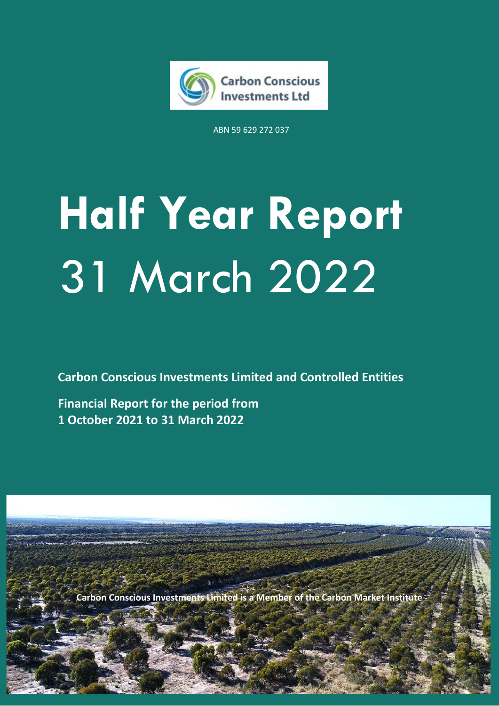

ABN 59 629 272 037

# **Half Year Report** 31 March 2022

**Carbon Conscious Investments Limited and Controlled Entities**

**Financial Report for the period from 1 October 2021 to 31 March 2022**

**Carbon Conscious Investments Limited is a Member of the Carbon Market Institute**

**Carbon Conscious Investments Limited** Half Year Report 2022 **1**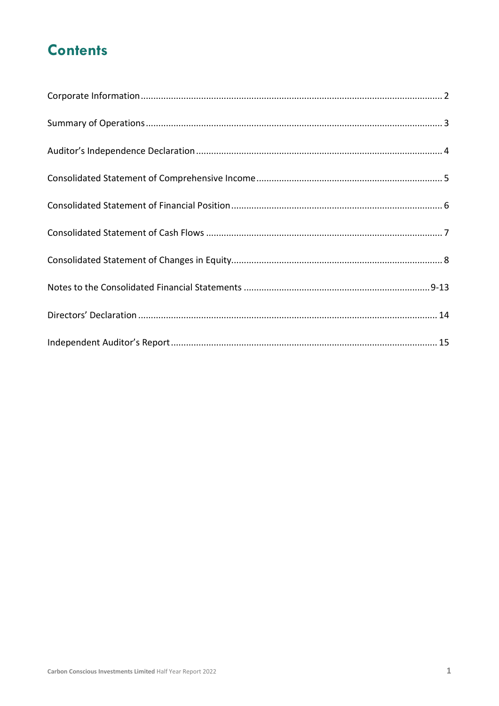### **Contents**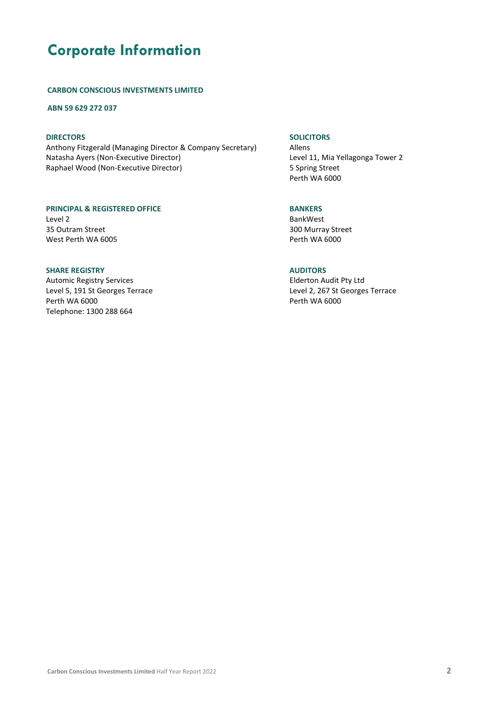### **Corporate Information**

#### **CARBON CONSCIOUS INVESTMENTS LIMITED**

**ABN 59 629 272 037**

### **DIRECTORS**

Anthony Fitzgerald (Managing Director & Company Secretary) Natasha Ayers (Non-Executive Director) Raphael Wood (Non-Executive Director)

#### **PRINCIPAL & REGISTERED OFFICE** Level 2

35 Outram Street West Perth WA 6005

### **SHARE REGISTRY**

Automic Registry Services Level 5, 191 St Georges Terrace Perth WA 6000 Telephone: 1300 288 664

### **SOLICITORS**

Allens Level 11, Mia Yellagonga Tower 2 5 Spring Street Perth WA 6000

### **BANKERS**

BankWest 300 Murray Street Perth WA 6000

### **AUDITORS**

Elderton Audit Pty Ltd Level 2, 267 St Georges Terrace Perth WA 6000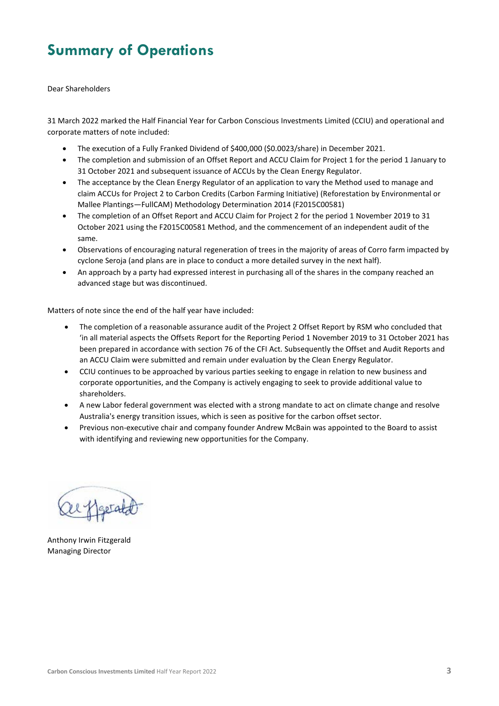### **Summary of Operations**

Dear Shareholders

31 March 2022 marked the Half Financial Year for Carbon Conscious Investments Limited (CCIU) and operational and corporate matters of note included:

- The execution of a Fully Franked Dividend of \$400,000 (\$0.0023/share) in December 2021.
- The completion and submission of an Offset Report and ACCU Claim for Project 1 for the period 1 January to 31 October 2021 and subsequent issuance of ACCUs by the Clean Energy Regulator.
- The acceptance by the Clean Energy Regulator of an application to vary the Method used to manage and claim ACCUs for Project 2 to Carbon Credits (Carbon Farming Initiative) (Reforestation by Environmental or Mallee Plantings—FullCAM) Methodology Determination 2014 (F2015C00581)
- The completion of an Offset Report and ACCU Claim for Project 2 for the period 1 November 2019 to 31 October 2021 using the F2015C00581 Method, and the commencement of an independent audit of the same.
- Observations of encouraging natural regeneration of trees in the majority of areas of Corro farm impacted by cyclone Seroja (and plans are in place to conduct a more detailed survey in the next half).
- An approach by a party had expressed interest in purchasing all of the shares in the company reached an advanced stage but was discontinued.

Matters of note since the end of the half year have included:

- The completion of a reasonable assurance audit of the Project 2 Offset Report by RSM who concluded that 'in all material aspects the Offsets Report for the Reporting Period 1 November 2019 to 31 October 2021 has been prepared in accordance with section 76 of the CFI Act. Subsequently the Offset and Audit Reports and an ACCU Claim were submitted and remain under evaluation by the Clean Energy Regulator.
- CCIU continues to be approached by various parties seeking to engage in relation to new business and corporate opportunities, and the Company is actively engaging to seek to provide additional value to shareholders.
- A new Labor federal government was elected with a strong mandate to act on climate change and resolve Australia's energy transition issues, which is seen as positive for the carbon offset sector.
- Previous non-executive chair and company founder Andrew McBain was appointed to the Board to assist with identifying and reviewing new opportunities for the Company.

Anthony Irwin Fitzgerald Managing Director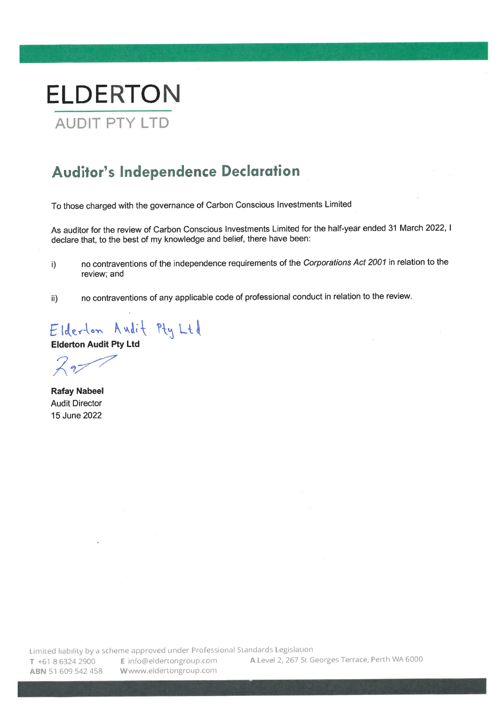

### **Auditor's Independence Declaration**

To those charged with the governance of Carbon Conscious Investments Limited

As auditor for the review of Carbon Conscious Investments Limited for the half-year ended 31 March 2022, I declare that, to the best of my knowledge and belief, there have been:

- no contraventions of the independence requirements of the Corporations Act 2001 in relation to the  $i)$ review; and
- no contraventions of any applicable code of professional conduct in relation to the review. ii)

Elderton Audit Pty Ltd

**Elderton Audit Pty Ltd** 

 $\sqrt{27}$ 

**Rafay Nabeel Audit Director** 15 June 2022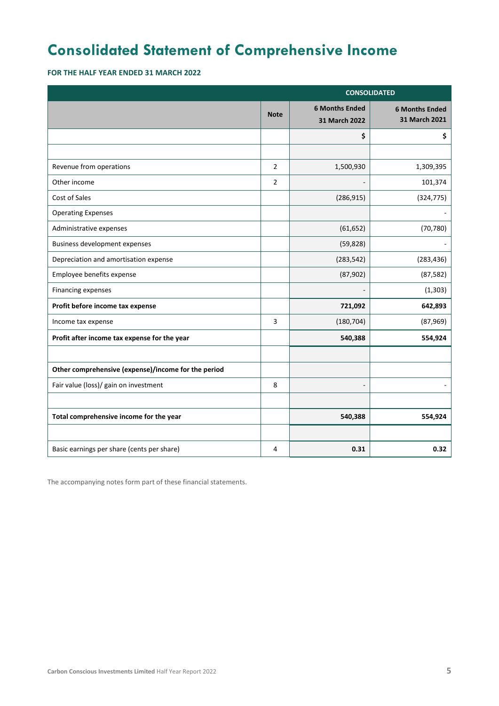### **Consolidated Statement of Comprehensive Income**

**FOR THE HALF YEAR ENDED 31 MARCH 2022**

| <b>CONSOLIDATED</b>                                 |                                                       |            |                                        |
|-----------------------------------------------------|-------------------------------------------------------|------------|----------------------------------------|
|                                                     | <b>6 Months Ended</b><br><b>Note</b><br>31 March 2022 |            | <b>6 Months Ended</b><br>31 March 2021 |
|                                                     |                                                       | \$         | \$                                     |
|                                                     |                                                       |            |                                        |
| Revenue from operations                             | $\overline{2}$                                        | 1,500,930  | 1,309,395                              |
| Other income                                        | $\overline{2}$                                        |            | 101,374                                |
| Cost of Sales                                       |                                                       | (286, 915) | (324, 775)                             |
| <b>Operating Expenses</b>                           |                                                       |            |                                        |
| Administrative expenses                             |                                                       | (61, 652)  | (70, 780)                              |
| Business development expenses                       |                                                       | (59, 828)  |                                        |
| Depreciation and amortisation expense               |                                                       | (283, 542) | (283, 436)                             |
| Employee benefits expense                           |                                                       | (87, 902)  | (87, 582)                              |
| Financing expenses                                  |                                                       |            | (1, 303)                               |
| Profit before income tax expense                    |                                                       | 721,092    | 642,893                                |
| Income tax expense                                  | 3                                                     | (180, 704) | (87,969)                               |
| Profit after income tax expense for the year        |                                                       | 540,388    | 554,924                                |
|                                                     |                                                       |            |                                        |
| Other comprehensive (expense)/income for the period |                                                       |            |                                        |
| Fair value (loss)/ gain on investment               | 8                                                     |            |                                        |
|                                                     |                                                       |            |                                        |
| Total comprehensive income for the year             |                                                       | 540,388    | 554,924                                |
|                                                     |                                                       |            |                                        |
| Basic earnings per share (cents per share)          | 4                                                     | 0.31       | 0.32                                   |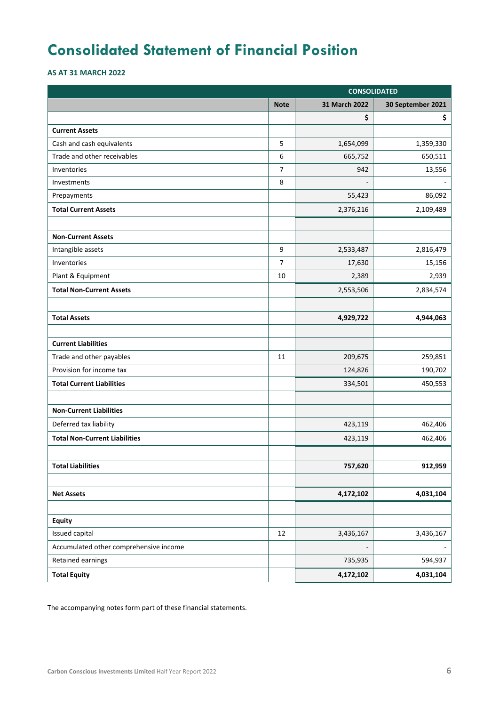### **Consolidated Statement of Financial Position**

**AS AT 31 MARCH 2022**

|                                        | <b>CONSOLIDATED</b> |                |                   |  |
|----------------------------------------|---------------------|----------------|-------------------|--|
|                                        | <b>Note</b>         | 31 March 2022  | 30 September 2021 |  |
|                                        |                     | \$             | \$                |  |
| <b>Current Assets</b>                  |                     |                |                   |  |
| Cash and cash equivalents              | 5                   | 1,654,099      | 1,359,330         |  |
| Trade and other receivables            | 6                   | 665,752        | 650,511           |  |
| Inventories                            | $\overline{7}$      | 942            | 13,556            |  |
| Investments                            | 8                   | $\overline{a}$ |                   |  |
| Prepayments                            |                     | 55,423         | 86,092            |  |
| <b>Total Current Assets</b>            |                     | 2,376,216      | 2,109,489         |  |
|                                        |                     |                |                   |  |
| <b>Non-Current Assets</b>              |                     |                |                   |  |
| Intangible assets                      | 9                   | 2,533,487      | 2,816,479         |  |
| Inventories                            | $\overline{7}$      | 17,630         | 15,156            |  |
| Plant & Equipment                      | 10                  | 2,389          | 2,939             |  |
| <b>Total Non-Current Assets</b>        |                     | 2,553,506      | 2,834,574         |  |
|                                        |                     |                |                   |  |
| <b>Total Assets</b>                    |                     | 4,929,722      | 4,944,063         |  |
|                                        |                     |                |                   |  |
| <b>Current Liabilities</b>             |                     |                |                   |  |
| Trade and other payables               | 11                  | 209,675        | 259,851           |  |
| Provision for income tax               |                     | 124,826        | 190,702           |  |
| <b>Total Current Liabilities</b>       |                     | 334,501        | 450,553           |  |
|                                        |                     |                |                   |  |
| <b>Non-Current Liabilities</b>         |                     |                |                   |  |
| Deferred tax liability                 |                     | 423,119        | 462,406           |  |
| <b>Total Non-Current Liabilities</b>   |                     | 423,119        | 462,406           |  |
|                                        |                     |                |                   |  |
| <b>Total Liabilities</b>               |                     | 757,620        | 912,959           |  |
|                                        |                     |                |                   |  |
| <b>Net Assets</b>                      |                     | 4,172,102      | 4,031,104         |  |
|                                        |                     |                |                   |  |
| <b>Equity</b>                          |                     |                |                   |  |
| Issued capital                         | 12                  | 3,436,167      | 3,436,167         |  |
| Accumulated other comprehensive income |                     |                |                   |  |
| Retained earnings                      |                     | 735,935        | 594,937           |  |
| <b>Total Equity</b>                    |                     | 4,172,102      | 4,031,104         |  |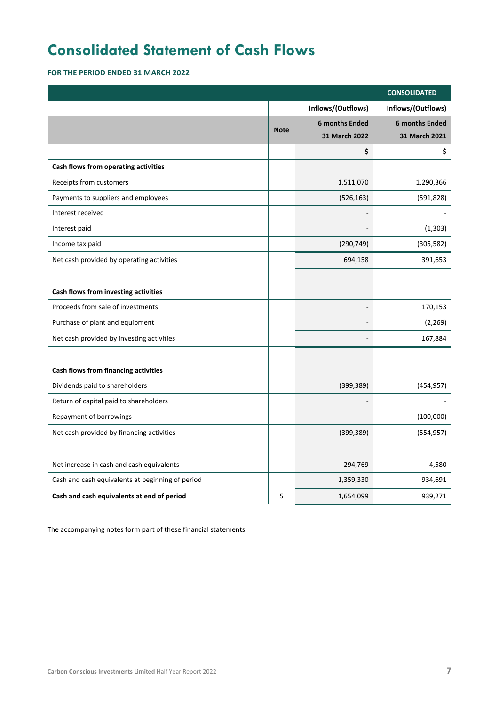### **Consolidated Statement of Cash Flows**

**FOR THE PERIOD ENDED 31 MARCH 2022**

|                                                  |             |                       | <b>CONSOLIDATED</b>   |
|--------------------------------------------------|-------------|-----------------------|-----------------------|
|                                                  |             | Inflows/(Outflows)    | Inflows/(Outflows)    |
|                                                  | <b>Note</b> | <b>6 months Ended</b> | <b>6 months Ended</b> |
|                                                  |             | 31 March 2022         | 31 March 2021         |
|                                                  |             | \$                    | \$                    |
| Cash flows from operating activities             |             |                       |                       |
| Receipts from customers                          |             | 1,511,070             | 1,290,366             |
| Payments to suppliers and employees              |             | (526, 163)            | (591, 828)            |
| Interest received                                |             |                       |                       |
| Interest paid                                    |             |                       | (1, 303)              |
| Income tax paid                                  |             | (290, 749)            | (305, 582)            |
| Net cash provided by operating activities        |             | 694,158               | 391,653               |
|                                                  |             |                       |                       |
| Cash flows from investing activities             |             |                       |                       |
| Proceeds from sale of investments                |             |                       | 170,153               |
| Purchase of plant and equipment                  |             |                       | (2, 269)              |
| Net cash provided by investing activities        |             |                       | 167,884               |
|                                                  |             |                       |                       |
| Cash flows from financing activities             |             |                       |                       |
| Dividends paid to shareholders                   |             | (399, 389)            | (454, 957)            |
| Return of capital paid to shareholders           |             |                       |                       |
| Repayment of borrowings                          |             |                       | (100,000)             |
| Net cash provided by financing activities        |             | (399, 389)            | (554, 957)            |
|                                                  |             |                       |                       |
| Net increase in cash and cash equivalents        |             | 294,769               | 4,580                 |
| Cash and cash equivalents at beginning of period |             | 1,359,330             | 934,691               |
| Cash and cash equivalents at end of period       | 5           | 1,654,099             | 939,271               |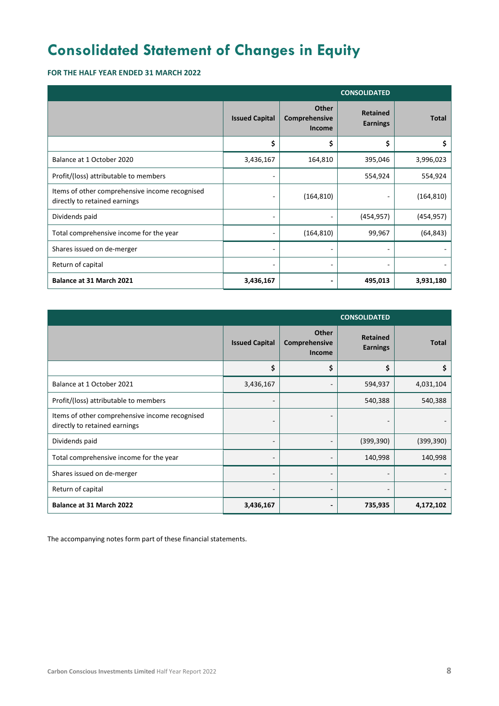### **Consolidated Statement of Changes in Equity**

### **FOR THE HALF YEAR ENDED 31 MARCH 2022**

| <b>CONSOLIDATED</b>                                                             |                       |                                                |                                    |              |
|---------------------------------------------------------------------------------|-----------------------|------------------------------------------------|------------------------------------|--------------|
|                                                                                 | <b>Issued Capital</b> | <b>Other</b><br>Comprehensive<br><b>Income</b> | <b>Retained</b><br><b>Earnings</b> | <b>Total</b> |
|                                                                                 | \$                    | \$                                             | \$                                 | \$           |
| Balance at 1 October 2020                                                       | 3,436,167             | 164,810                                        | 395,046                            | 3,996,023    |
| Profit/(loss) attributable to members                                           |                       |                                                | 554,924                            | 554,924      |
| Items of other comprehensive income recognised<br>directly to retained earnings |                       | (164, 810)                                     |                                    | (164, 810)   |
| Dividends paid                                                                  |                       |                                                | (454, 957)                         | (454, 957)   |
| Total comprehensive income for the year                                         |                       | (164, 810)                                     | 99,967                             | (64, 843)    |
| Shares issued on de-merger                                                      |                       |                                                |                                    |              |
| Return of capital                                                               |                       |                                                |                                    |              |
| Balance at 31 March 2021                                                        | 3,436,167             |                                                | 495,013                            | 3,931,180    |

| <b>CONSOLIDATED</b>                                                             |                          |                                         |                                    |              |
|---------------------------------------------------------------------------------|--------------------------|-----------------------------------------|------------------------------------|--------------|
|                                                                                 | <b>Issued Capital</b>    | Other<br>Comprehensive<br><b>Income</b> | <b>Retained</b><br><b>Earnings</b> | <b>Total</b> |
|                                                                                 | \$                       | \$                                      | \$                                 | \$           |
| Balance at 1 October 2021                                                       | 3,436,167                |                                         | 594,937                            | 4,031,104    |
| Profit/(loss) attributable to members                                           | -                        |                                         | 540,388                            | 540,388      |
| Items of other comprehensive income recognised<br>directly to retained earnings | $\overline{\phantom{a}}$ | $\overline{\phantom{a}}$                |                                    |              |
| Dividends paid                                                                  | -                        |                                         | (399, 390)                         | (399, 390)   |
| Total comprehensive income for the year                                         | $\overline{\phantom{a}}$ |                                         | 140,998                            | 140,998      |
| Shares issued on de-merger                                                      | $\overline{\phantom{a}}$ |                                         | -                                  |              |
| Return of capital                                                               | $\overline{\phantom{a}}$ | $\overline{\phantom{a}}$                | -                                  |              |
| Balance at 31 March 2022                                                        | 3,436,167                |                                         | 735,935                            | 4,172,102    |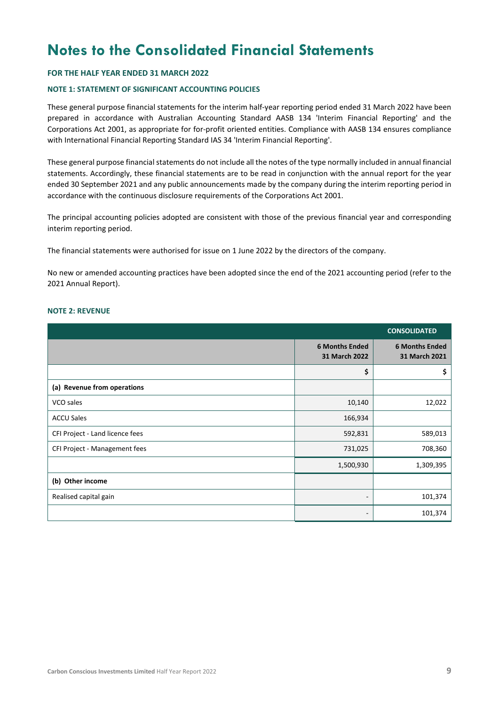### **Notes to the Consolidated Financial Statements**

#### **FOR THE HALF YEAR ENDED 31 MARCH 2022**

#### **NOTE 1: STATEMENT OF SIGNIFICANT ACCOUNTING POLICIES**

These general purpose financial statements for the interim half-year reporting period ended 31 March 2022 have been prepared in accordance with Australian Accounting Standard AASB 134 'Interim Financial Reporting' and the Corporations Act 2001, as appropriate for for-profit oriented entities. Compliance with AASB 134 ensures compliance with International Financial Reporting Standard IAS 34 'Interim Financial Reporting'.

These general purpose financial statements do not include all the notes of the type normally included in annual financial statements. Accordingly, these financial statements are to be read in conjunction with the annual report for the year ended 30 September 2021 and any public announcements made by the company during the interim reporting period in accordance with the continuous disclosure requirements of the Corporations Act 2001.

The principal accounting policies adopted are consistent with those of the previous financial year and corresponding interim reporting period.

The financial statements were authorised for issue on 1 June 2022 by the directors of the company.

No new or amended accounting practices have been adopted since the end of the 2021 accounting period (refer to the 2021 Annual Report).

#### **NOTE 2: REVENUE**

|                                 |                                        | <b>CONSOLIDATED</b>                    |
|---------------------------------|----------------------------------------|----------------------------------------|
|                                 | <b>6 Months Ended</b><br>31 March 2022 | <b>6 Months Ended</b><br>31 March 2021 |
|                                 | \$                                     | \$                                     |
| (a) Revenue from operations     |                                        |                                        |
| VCO sales                       | 10,140                                 | 12,022                                 |
| <b>ACCU Sales</b>               | 166,934                                |                                        |
| CFI Project - Land licence fees | 592,831                                | 589,013                                |
| CFI Project - Management fees   | 731,025                                | 708,360                                |
|                                 | 1,500,930                              | 1,309,395                              |
| (b) Other income                |                                        |                                        |
| Realised capital gain           | -                                      | 101,374                                |
|                                 | -                                      | 101,374                                |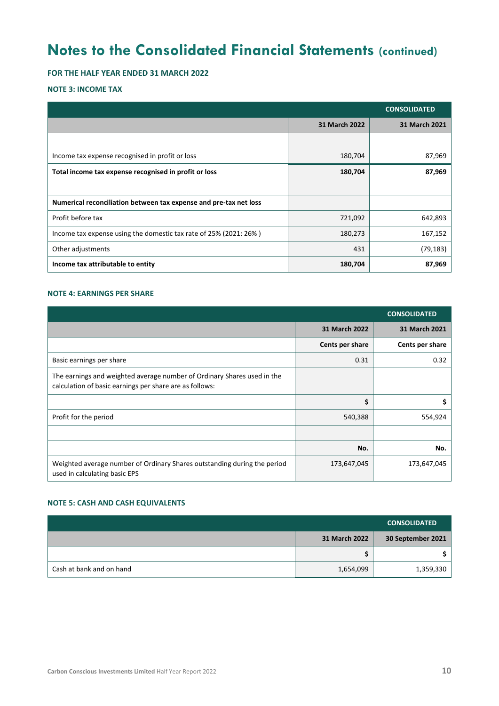**FOR THE HALF YEAR ENDED 31 MARCH 2022**

#### **NOTE 3: INCOME TAX**

|                                                                   |               | <b>CONSOLIDATED</b> |
|-------------------------------------------------------------------|---------------|---------------------|
|                                                                   | 31 March 2022 | 31 March 2021       |
|                                                                   |               |                     |
| Income tax expense recognised in profit or loss                   | 180,704       | 87,969              |
| Total income tax expense recognised in profit or loss             | 180,704       | 87,969              |
|                                                                   |               |                     |
| Numerical reconciliation between tax expense and pre-tax net loss |               |                     |
| Profit before tax                                                 | 721,092       | 642,893             |
| Income tax expense using the domestic tax rate of 25% (2021: 26%) | 180,273       | 167,152             |
| Other adjustments                                                 | 431           | (79, 183)           |
| Income tax attributable to entity                                 | 180,704       | 87,969              |

### **NOTE 4: EARNINGS PER SHARE**

|                                                                                                                                    |                 | <b>CONSOLIDATED</b> |
|------------------------------------------------------------------------------------------------------------------------------------|-----------------|---------------------|
|                                                                                                                                    | 31 March 2022   | 31 March 2021       |
|                                                                                                                                    | Cents per share | Cents per share     |
| Basic earnings per share                                                                                                           | 0.31            | 0.32                |
| The earnings and weighted average number of Ordinary Shares used in the<br>calculation of basic earnings per share are as follows: |                 |                     |
|                                                                                                                                    | \$              | \$                  |
| Profit for the period                                                                                                              | 540,388         | 554,924             |
|                                                                                                                                    |                 |                     |
|                                                                                                                                    | No.             | No.                 |
| Weighted average number of Ordinary Shares outstanding during the period<br>used in calculating basic EPS                          | 173,647,045     | 173,647,045         |

### **NOTE 5: CASH AND CASH EQUIVALENTS**

|                          |               | <b>CONSOLIDATED</b> |
|--------------------------|---------------|---------------------|
|                          | 31 March 2022 | 30 September 2021   |
|                          |               |                     |
| Cash at bank and on hand | 1,654,099     | 1,359,330           |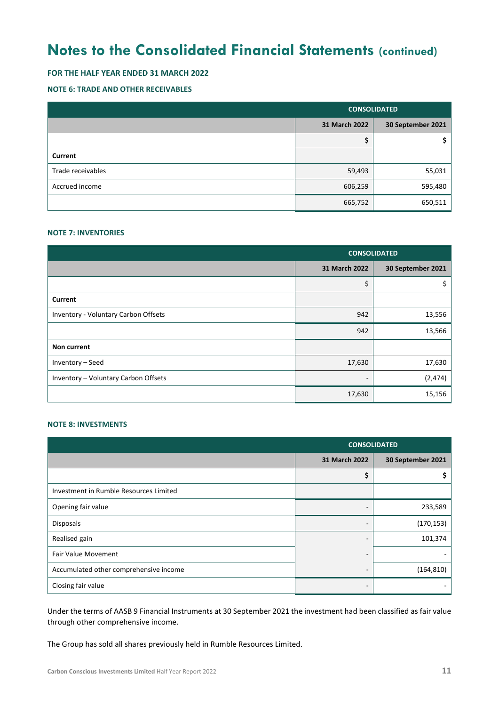### **FOR THE HALF YEAR ENDED 31 MARCH 2022**

### **NOTE 6: TRADE AND OTHER RECEIVABLES**

|                   | <b>CONSOLIDATED</b> |                   |  |
|-------------------|---------------------|-------------------|--|
|                   | 31 March 2022       | 30 September 2021 |  |
|                   | ⊋                   |                   |  |
| Current           |                     |                   |  |
| Trade receivables | 59,493              | 55,031            |  |
| Accrued income    | 606,259             | 595,480           |  |
|                   | 665,752             | 650,511           |  |

#### **NOTE 7: INVENTORIES**

|                                      | <b>CONSOLIDATED</b>      |                   |  |
|--------------------------------------|--------------------------|-------------------|--|
|                                      | 31 March 2022            | 30 September 2021 |  |
|                                      | \$                       | \$                |  |
| Current                              |                          |                   |  |
| Inventory - Voluntary Carbon Offsets | 942                      | 13,556            |  |
|                                      | 942                      | 13,566            |  |
| Non current                          |                          |                   |  |
| Inventory - Seed                     | 17,630                   | 17,630            |  |
| Inventory - Voluntary Carbon Offsets | $\overline{\phantom{a}}$ | (2, 474)          |  |
|                                      | 17,630                   | 15,156            |  |

#### **NOTE 8: INVESTMENTS**

|                                        | <b>CONSOLIDATED</b>      |                   |
|----------------------------------------|--------------------------|-------------------|
|                                        | 31 March 2022            | 30 September 2021 |
|                                        | \$                       |                   |
| Investment in Rumble Resources Limited |                          |                   |
| Opening fair value                     | -                        | 233,589           |
| Disposals                              | $\overline{\phantom{0}}$ | (170, 153)        |
| Realised gain                          | -                        | 101,374           |
| <b>Fair Value Movement</b>             | -                        |                   |
| Accumulated other comprehensive income | -                        | (164, 810)        |
| Closing fair value                     |                          |                   |

Under the terms of AASB 9 Financial Instruments at 30 September 2021 the investment had been classified as fair value through other comprehensive income.

The Group has sold all shares previously held in Rumble Resources Limited.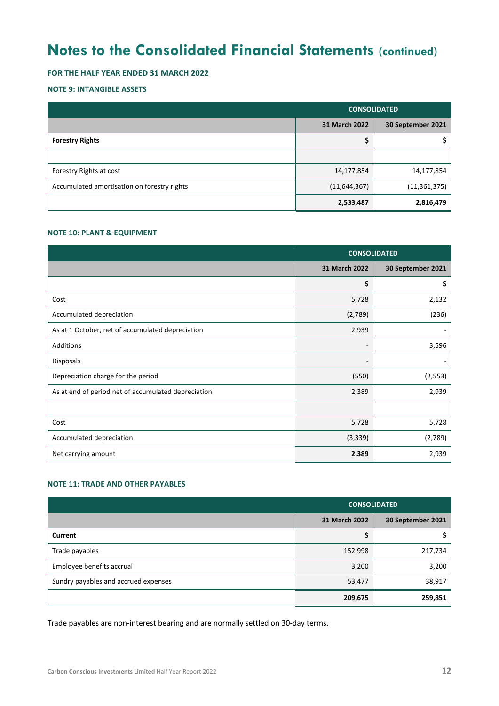### **FOR THE HALF YEAR ENDED 31 MARCH 2022**

### **NOTE 9: INTANGIBLE ASSETS**

|                                             | <b>CONSOLIDATED</b> |                   |
|---------------------------------------------|---------------------|-------------------|
|                                             | 31 March 2022       | 30 September 2021 |
| <b>Forestry Rights</b>                      |                     |                   |
|                                             |                     |                   |
| Forestry Rights at cost                     | 14,177,854          | 14,177,854        |
| Accumulated amortisation on forestry rights | (11, 644, 367)      | (11, 361, 375)    |
|                                             | 2,533,487           | 2,816,479         |

#### **NOTE 10: PLANT & EQUIPMENT**

|                                                     | <b>CONSOLIDATED</b>      |                   |
|-----------------------------------------------------|--------------------------|-------------------|
|                                                     | 31 March 2022            | 30 September 2021 |
|                                                     | \$                       | \$                |
| Cost                                                | 5,728                    | 2,132             |
| Accumulated depreciation                            | (2,789)                  | (236)             |
| As at 1 October, net of accumulated depreciation    | 2,939                    |                   |
| Additions                                           | $\overline{\phantom{a}}$ | 3,596             |
| Disposals                                           |                          |                   |
| Depreciation charge for the period                  | (550)                    | (2, 553)          |
| As at end of period net of accumulated depreciation | 2,389                    | 2,939             |
|                                                     |                          |                   |
| Cost                                                | 5,728                    | 5,728             |
| Accumulated depreciation                            | (3, 339)                 | (2,789)           |
| Net carrying amount                                 | 2,389                    | 2,939             |

### **NOTE 11: TRADE AND OTHER PAYABLES**

|                                      | <b>CONSOLIDATED</b> |                   |
|--------------------------------------|---------------------|-------------------|
|                                      | 31 March 2022       | 30 September 2021 |
| Current                              | ∼                   |                   |
| Trade payables                       | 152,998             | 217,734           |
| Employee benefits accrual            | 3,200               | 3,200             |
| Sundry payables and accrued expenses | 53,477              | 38,917            |
|                                      | 209,675             | 259,851           |

Trade payables are non-interest bearing and are normally settled on 30-day terms.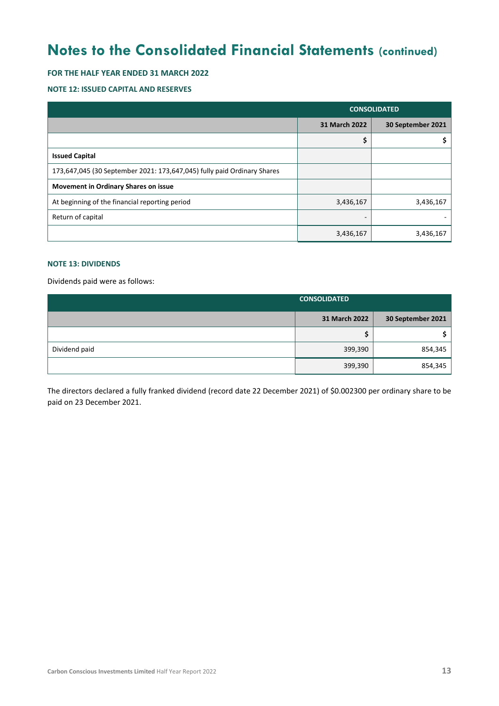### **FOR THE HALF YEAR ENDED 31 MARCH 2022**

#### **NOTE 12: ISSUED CAPITAL AND RESERVES**

|                                                                         | <b>CONSOLIDATED</b> |                   |
|-------------------------------------------------------------------------|---------------------|-------------------|
|                                                                         | 31 March 2022       | 30 September 2021 |
|                                                                         | \$                  |                   |
| <b>Issued Capital</b>                                                   |                     |                   |
| 173,647,045 (30 September 2021: 173,647,045) fully paid Ordinary Shares |                     |                   |
| <b>Movement in Ordinary Shares on issue</b>                             |                     |                   |
| At beginning of the financial reporting period                          | 3,436,167           | 3,436,167         |
| Return of capital                                                       | -                   |                   |
|                                                                         | 3,436,167           | 3,436,167         |

### **NOTE 13: DIVIDENDS**

Dividends paid were as follows:

|               | <b>CONSOLIDATED</b> |                   |
|---------------|---------------------|-------------------|
|               | 31 March 2022       | 30 September 2021 |
|               |                     |                   |
| Dividend paid | 399,390             | 854,345           |
|               | 399,390             | 854,345           |

The directors declared a fully franked dividend (record date 22 December 2021) of \$0.002300 per ordinary share to be paid on 23 December 2021.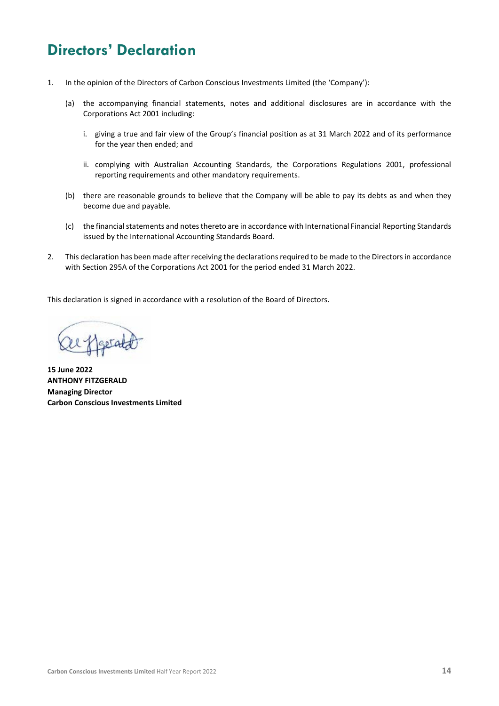### **Directors' Declaration**

- 1. In the opinion of the Directors of Carbon Conscious Investments Limited (the 'Company'):
	- (a) the accompanying financial statements, notes and additional disclosures are in accordance with the Corporations Act 2001 including:
		- i. giving a true and fair view of the Group's financial position as at 31 March 2022 and of its performance for the year then ended; and
		- ii. complying with Australian Accounting Standards, the Corporations Regulations 2001, professional reporting requirements and other mandatory requirements.
	- (b) there are reasonable grounds to believe that the Company will be able to pay its debts as and when they become due and payable.
	- (c) the financial statements and notes thereto are in accordance with International Financial Reporting Standards issued by the International Accounting Standards Board.
- 2. This declaration has been made after receiving the declarations required to be made to the Directors in accordance with Section 295A of the Corporations Act 2001 for the period ended 31 March 2022.

This declaration is signed in accordance with a resolution of the Board of Directors.

**15 June 2022 ANTHONY FITZGERALD Managing Director Carbon Conscious Investments Limited**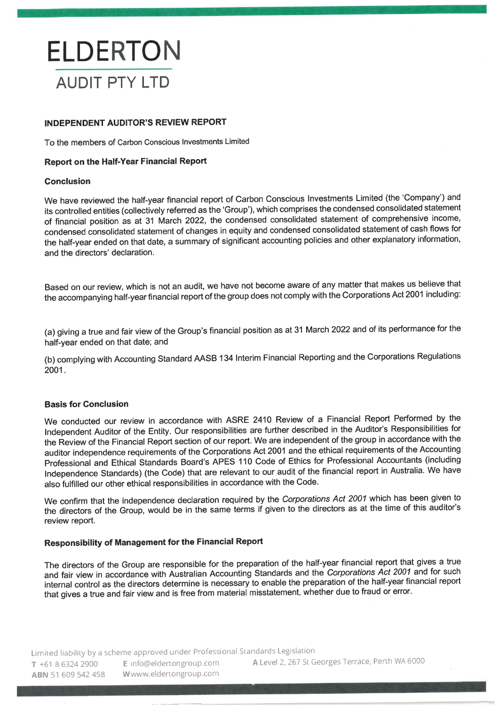## **ELDERTON AUDIT PTY LTD**

### **INDEPENDENT AUDITOR'S REVIEW REPORT**

To the members of Carbon Conscious Investments Limited

### **Report on the Half-Year Financial Report**

#### **Conclusion**

We have reviewed the half-year financial report of Carbon Conscious Investments Limited (the 'Company') and its controlled entities (collectively referred as the 'Group'), which comprises the condensed consolidated statement of financial position as at 31 March 2022, the condensed consolidated statement of comprehensive income, condensed consolidated statement of changes in equity and condensed consolidated statement of cash flows for the half-year ended on that date, a summary of significant accounting policies and other explanatory information, and the directors' declaration.

Based on our review, which is not an audit, we have not become aware of any matter that makes us believe that the accompanying half-year financial report of the group does not comply with the Corporations Act 2001 including:

(a) giving a true and fair view of the Group's financial position as at 31 March 2022 and of its performance for the half-year ended on that date; and

(b) complying with Accounting Standard AASB 134 Interim Financial Reporting and the Corporations Regulations 2001.

### **Basis for Conclusion**

We conducted our review in accordance with ASRE 2410 Review of a Financial Report Performed by the Independent Auditor of the Entity. Our responsibilities are further described in the Auditor's Responsibilities for the Review of the Financial Report section of our report. We are independent of the group in accordance with the auditor independence requirements of the Corporations Act 2001 and the ethical requirements of the Accounting Professional and Ethical Standards Board's APES 110 Code of Ethics for Professional Accountants (including Independence Standards) (the Code) that are relevant to our audit of the financial report in Australia. We have also fulfilled our other ethical responsibilities in accordance with the Code.

We confirm that the independence declaration required by the Corporations Act 2001 which has been given to the directors of the Group, would be in the same terms if given to the directors as at the time of this auditor's review report.

### **Responsibility of Management for the Financial Report**

The directors of the Group are responsible for the preparation of the half-year financial report that gives a true and fair view in accordance with Australian Accounting Standards and the Corporations Act 2001 and for such internal control as the directors determine is necessary to enable the preparation of the half-year financial report that gives a true and fair view and is free from material misstatement, whether due to fraud or error.